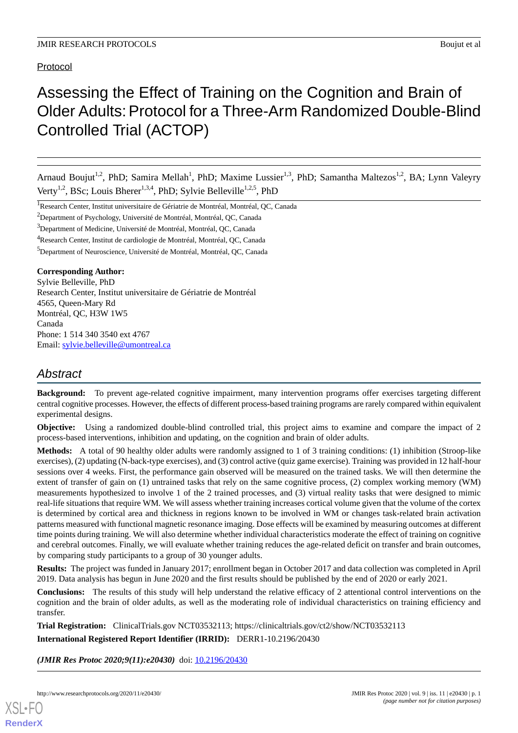Protocol

# Assessing the Effect of Training on the Cognition and Brain of Older Adults:Protocol for a Three-Arm Randomized Double-Blind Controlled Trial (ACTOP)

Arnaud Boujut<sup>1,2</sup>, PhD; Samira Mellah<sup>1</sup>, PhD; Maxime Lussier<sup>1,3</sup>, PhD; Samantha Maltezos<sup>1,2</sup>, BA; Lynn Valeyry Verty<sup>1,2</sup>, BSc; Louis Bherer<sup>1,3,4</sup>, PhD; Sylvie Belleville<sup>1,2,5</sup>, PhD

<sup>1</sup>Research Center, Institut universitaire de Gériatrie de Montréal, Montréal, QC, Canada

<sup>2</sup>Department of Psychology, Université de Montréal, Montréal, QC, Canada

<sup>3</sup>Department of Medicine, Université de Montréal, Montréal, QC, Canada

<sup>4</sup>Research Center, Institut de cardiologie de Montréal, Montréal, QC, Canada

<sup>5</sup>Department of Neuroscience, Université de Montréal, Montréal, QC, Canada

#### **Corresponding Author:**

Sylvie Belleville, PhD Research Center, Institut universitaire de Gériatrie de Montréal 4565, Queen-Mary Rd Montréal, QC, H3W 1W5 Canada Phone: 1 514 340 3540 ext 4767 Email: [sylvie.belleville@umontreal.ca](mailto:sylvie.belleville@umontreal.ca)

# *Abstract*

**Background:** To prevent age-related cognitive impairment, many intervention programs offer exercises targeting different central cognitive processes. However, the effects of different process-based training programs are rarely compared within equivalent experimental designs.

**Objective:** Using a randomized double-blind controlled trial, this project aims to examine and compare the impact of 2 process-based interventions, inhibition and updating, on the cognition and brain of older adults.

**Methods:** A total of 90 healthy older adults were randomly assigned to 1 of 3 training conditions: (1) inhibition (Stroop-like exercises), (2) updating (N-back-type exercises), and (3) control active (quiz game exercise). Training was provided in 12 half-hour sessions over 4 weeks. First, the performance gain observed will be measured on the trained tasks. We will then determine the extent of transfer of gain on (1) untrained tasks that rely on the same cognitive process, (2) complex working memory (WM) measurements hypothesized to involve 1 of the 2 trained processes, and (3) virtual reality tasks that were designed to mimic real-life situations that require WM. We will assess whether training increases cortical volume given that the volume of the cortex is determined by cortical area and thickness in regions known to be involved in WM or changes task-related brain activation patterns measured with functional magnetic resonance imaging. Dose effects will be examined by measuring outcomes at different time points during training. We will also determine whether individual characteristics moderate the effect of training on cognitive and cerebral outcomes. Finally, we will evaluate whether training reduces the age-related deficit on transfer and brain outcomes, by comparing study participants to a group of 30 younger adults.

**Results:** The project was funded in January 2017; enrollment began in October 2017 and data collection was completed in April 2019. Data analysis has begun in June 2020 and the first results should be published by the end of 2020 or early 2021.

**Conclusions:** The results of this study will help understand the relative efficacy of 2 attentional control interventions on the cognition and the brain of older adults, as well as the moderating role of individual characteristics on training efficiency and transfer.

**Trial Registration:** ClinicalTrials.gov NCT03532113; https://clinicaltrials.gov/ct2/show/NCT03532113 **International Registered Report Identifier (IRRID):** DERR1-10.2196/20430

*(JMIR Res Protoc 2020;9(11):e20430)* doi: [10.2196/20430](http://dx.doi.org/10.2196/20430)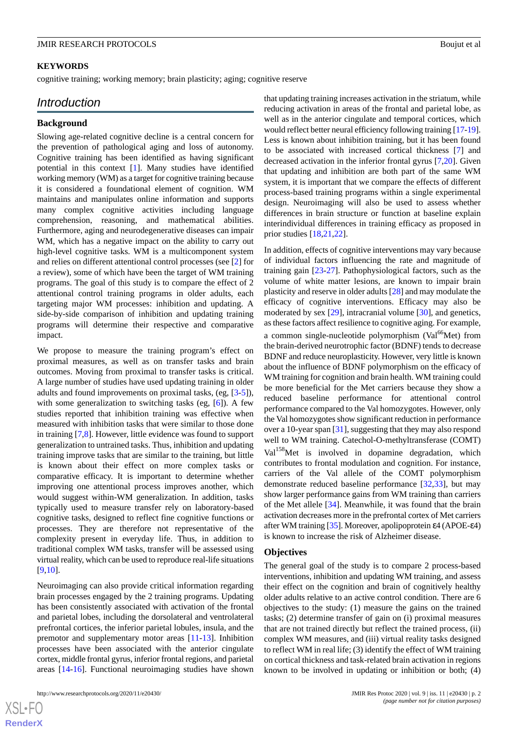## **KEYWORDS**

cognitive training; working memory; brain plasticity; aging; cognitive reserve

# *Introduction*

#### **Background**

Slowing age-related cognitive decline is a central concern for the prevention of pathological aging and loss of autonomy. Cognitive training has been identified as having significant potential in this context [[1\]](#page-10-0). Many studies have identified working memory (WM) as a target for cognitive training because it is considered a foundational element of cognition. WM maintains and manipulates online information and supports many complex cognitive activities including language comprehension, reasoning, and mathematical abilities. Furthermore, aging and neurodegenerative diseases can impair WM, which has a negative impact on the ability to carry out high-level cognitive tasks. WM is a multicomponent system and relies on different attentional control processes (see [\[2](#page-10-1)] for a review), some of which have been the target of WM training programs. The goal of this study is to compare the effect of 2 attentional control training programs in older adults, each targeting major WM processes: inhibition and updating. A side-by-side comparison of inhibition and updating training programs will determine their respective and comparative impact.

We propose to measure the training program's effect on proximal measures, as well as on transfer tasks and brain outcomes. Moving from proximal to transfer tasks is critical. A large number of studies have used updating training in older adults and found improvements on proximal tasks, (eg, [\[3](#page-10-2)-[5](#page-10-3)]), with some generalization to switching tasks (eg, [\[6](#page-10-4)]). A few studies reported that inhibition training was effective when measured with inhibition tasks that were similar to those done in training [\[7](#page-11-0),[8\]](#page-11-1). However, little evidence was found to support generalization to untrained tasks. Thus, inhibition and updating training improve tasks that are similar to the training, but little is known about their effect on more complex tasks or comparative efficacy. It is important to determine whether improving one attentional process improves another, which would suggest within-WM generalization. In addition, tasks typically used to measure transfer rely on laboratory-based cognitive tasks, designed to reflect fine cognitive functions or processes. They are therefore not representative of the complexity present in everyday life. Thus, in addition to traditional complex WM tasks, transfer will be assessed using virtual reality, which can be used to reproduce real-life situations [[9](#page-11-2)[,10](#page-11-3)].

Neuroimaging can also provide critical information regarding brain processes engaged by the 2 training programs. Updating has been consistently associated with activation of the frontal and parietal lobes, including the dorsolateral and ventrolateral prefrontal cortices, the inferior parietal lobules, insula, and the premotor and supplementary motor areas [\[11](#page-11-4)-[13\]](#page-11-5). Inhibition processes have been associated with the anterior cingulate cortex, middle frontal gyrus, inferior frontal regions, and parietal areas [[14-](#page-11-6)[16\]](#page-11-7). Functional neuroimaging studies have shown

that updating training increases activation in the striatum, while reducing activation in areas of the frontal and parietal lobe, as well as in the anterior cingulate and temporal cortices, which would reflect better neural efficiency following training [\[17](#page-11-8)[-19](#page-11-9)]. Less is known about inhibition training, but it has been found to be associated with increased cortical thickness [[7\]](#page-11-0) and decreased activation in the inferior frontal gyrus [[7,](#page-11-0)[20](#page-11-10)]. Given that updating and inhibition are both part of the same WM system, it is important that we compare the effects of different process-based training programs within a single experimental design. Neuroimaging will also be used to assess whether differences in brain structure or function at baseline explain interindividual differences in training efficacy as proposed in prior studies [\[18](#page-11-11),[21,](#page-11-12)[22](#page-11-13)].

In addition, effects of cognitive interventions may vary because of individual factors influencing the rate and magnitude of training gain [[23](#page-11-14)[-27](#page-11-15)]. Pathophysiological factors, such as the volume of white matter lesions, are known to impair brain plasticity and reserve in older adults [[28\]](#page-11-16) and may modulate the efficacy of cognitive interventions. Efficacy may also be moderated by sex [[29\]](#page-12-0), intracranial volume [\[30](#page-12-1)], and genetics, as these factors affect resilience to cognitive aging. For example, a common single-nucleotide polymorphism ( $Val^{66}Met$ ) from the brain-derived neurotrophic factor (BDNF) tends to decrease BDNF and reduce neuroplasticity. However, very little is known about the influence of BDNF polymorphism on the efficacy of WM training for cognition and brain health. WM training could be more beneficial for the Met carriers because they show a reduced baseline performance for attentional control performance compared to the Val homozygotes. However, only the Val homozygotes show significant reduction in performance over a 10-year span [[31\]](#page-12-2), suggesting that they may also respond well to WM training. Catechol-O-methyltransferase (COMT) Val<sup>158</sup>Met is involved in dopamine degradation, which contributes to frontal modulation and cognition. For instance, carriers of the Val allele of the COMT polymorphism demonstrate reduced baseline performance [[32,](#page-12-3)[33](#page-12-4)], but may show larger performance gains from WM training than carriers of the Met allele [[34\]](#page-12-5). Meanwhile, it was found that the brain activation decreases more in the prefrontal cortex of Met carriers after WM training [[35\]](#page-12-6). Moreover, apolipoprotein ε4 (APOE-ε4) is known to increase the risk of Alzheimer disease.

#### **Objectives**

The general goal of the study is to compare 2 process-based interventions, inhibition and updating WM training, and assess their effect on the cognition and brain of cognitively healthy older adults relative to an active control condition. There are 6 objectives to the study: (1) measure the gains on the trained tasks; (2) determine transfer of gain on (i) proximal measures that are not trained directly but reflect the trained process, (ii) complex WM measures, and (iii) virtual reality tasks designed to reflect WM in real life; (3) identify the effect of WM training on cortical thickness and task-related brain activation in regions known to be involved in updating or inhibition or both; (4)

 $XSI - F($ **[RenderX](http://www.renderx.com/)**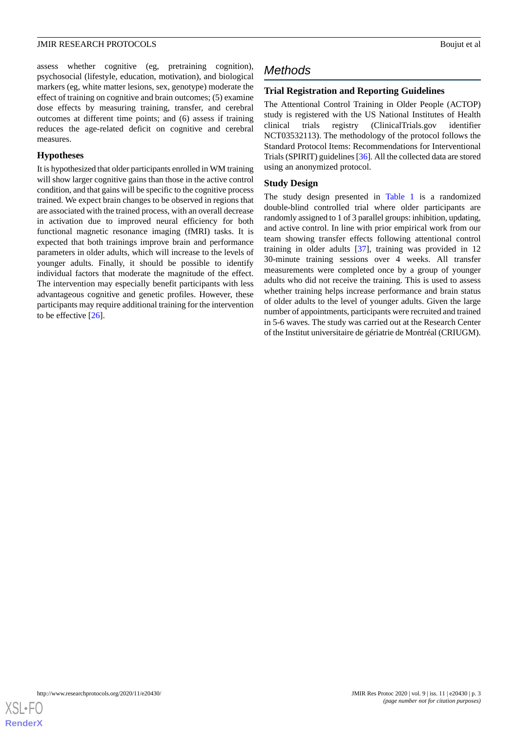assess whether cognitive (eg, pretraining cognition), psychosocial (lifestyle, education, motivation), and biological markers (eg, white matter lesions, sex, genotype) moderate the effect of training on cognitive and brain outcomes; (5) examine dose effects by measuring training, transfer, and cerebral outcomes at different time points; and (6) assess if training reduces the age-related deficit on cognitive and cerebral measures.

#### **Hypotheses**

It is hypothesized that older participants enrolled in WM training will show larger cognitive gains than those in the active control condition, and that gains will be specific to the cognitive process trained. We expect brain changes to be observed in regions that are associated with the trained process, with an overall decrease in activation due to improved neural efficiency for both functional magnetic resonance imaging (fMRI) tasks. It is expected that both trainings improve brain and performance parameters in older adults, which will increase to the levels of younger adults. Finally, it should be possible to identify individual factors that moderate the magnitude of the effect. The intervention may especially benefit participants with less advantageous cognitive and genetic profiles. However, these participants may require additional training for the intervention to be effective [[26\]](#page-11-17).

# *Methods*

# **Trial Registration and Reporting Guidelines**

The Attentional Control Training in Older People (ACTOP) study is registered with the US National Institutes of Health clinical trials registry (ClinicalTrials.gov identifier NCT03532113). The methodology of the protocol follows the Standard Protocol Items: Recommendations for Interventional Trials (SPIRIT) guidelines [[36](#page-12-7)]. All the collected data are stored using an anonymized protocol.

# **Study Design**

The study design presented in [Table 1](#page-3-0) is a randomized double-blind controlled trial where older participants are randomly assigned to 1 of 3 parallel groups: inhibition, updating, and active control. In line with prior empirical work from our team showing transfer effects following attentional control training in older adults [\[37](#page-12-8)], training was provided in 12 30-minute training sessions over 4 weeks. All transfer measurements were completed once by a group of younger adults who did not receive the training. This is used to assess whether training helps increase performance and brain status of older adults to the level of younger adults. Given the large number of appointments, participants were recruited and trained in 5-6 waves. The study was carried out at the Research Center of the Institut universitaire de gériatrie de Montréal (CRIUGM).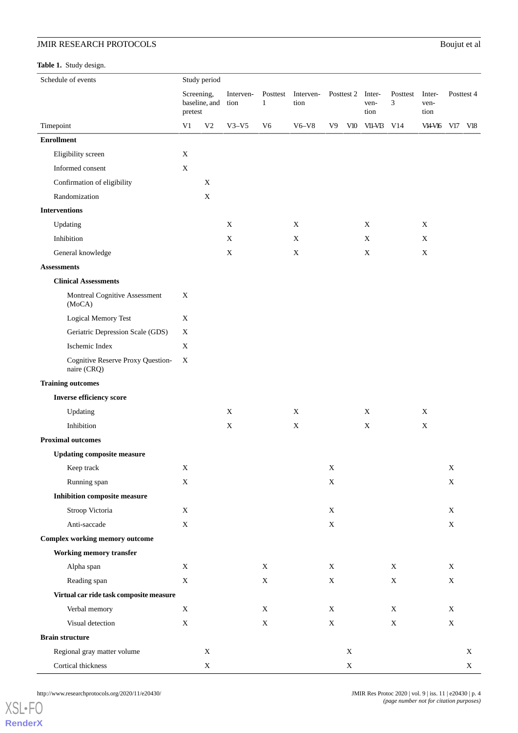# **JMIR RESEARCH PROTOCOLS** Bou

<span id="page-3-0"></span>**Table 1.** Study design.

| Boujut et al |  |  |
|--------------|--|--|

| Schedule of events                               |                                        | Study period   |                   |                          |                   |                |             |                        |               |                        |             |            |  |
|--------------------------------------------------|----------------------------------------|----------------|-------------------|--------------------------|-------------------|----------------|-------------|------------------------|---------------|------------------------|-------------|------------|--|
|                                                  | Screening,<br>baseline, and<br>pretest |                | Interven-<br>tion | Posttest<br>$\mathbf{1}$ | Interven-<br>tion | Posttest 2     |             | Inter-<br>ven-<br>tion | Posttest<br>3 | Inter-<br>ven-<br>tion |             | Posttest 4 |  |
| Timepoint                                        | V1                                     | V <sub>2</sub> | $V3-V5$           | V <sub>6</sub>           | $V6-V8$           | V <sub>9</sub> |             | V10 V11-V13            | V14           | VI4-VI6 V17 V18        |             |            |  |
| <b>Enrollment</b>                                |                                        |                |                   |                          |                   |                |             |                        |               |                        |             |            |  |
| Eligibility screen                               | X                                      |                |                   |                          |                   |                |             |                        |               |                        |             |            |  |
| Informed consent                                 | X                                      |                |                   |                          |                   |                |             |                        |               |                        |             |            |  |
| Confirmation of eligibility                      |                                        | X              |                   |                          |                   |                |             |                        |               |                        |             |            |  |
| Randomization                                    |                                        | $\mathbf X$    |                   |                          |                   |                |             |                        |               |                        |             |            |  |
| <b>Interventions</b>                             |                                        |                |                   |                          |                   |                |             |                        |               |                        |             |            |  |
| Updating                                         |                                        |                | $\mathbf X$       |                          | X                 |                |             | X                      |               | $\mathbf X$            |             |            |  |
| Inhibition                                       |                                        |                | X                 |                          | $\mathbf X$       |                |             | X                      |               | $\mathbf X$            |             |            |  |
| General knowledge                                |                                        |                | X                 |                          | X                 |                |             | X                      |               | X                      |             |            |  |
| <b>Assessments</b>                               |                                        |                |                   |                          |                   |                |             |                        |               |                        |             |            |  |
| <b>Clinical Assessments</b>                      |                                        |                |                   |                          |                   |                |             |                        |               |                        |             |            |  |
| Montreal Cognitive Assessment<br>(MoCA)          | X                                      |                |                   |                          |                   |                |             |                        |               |                        |             |            |  |
| Logical Memory Test                              | X                                      |                |                   |                          |                   |                |             |                        |               |                        |             |            |  |
| Geriatric Depression Scale (GDS)                 | X                                      |                |                   |                          |                   |                |             |                        |               |                        |             |            |  |
| Ischemic Index                                   | $\mathbf X$                            |                |                   |                          |                   |                |             |                        |               |                        |             |            |  |
| Cognitive Reserve Proxy Question-<br>naire (CRQ) | X                                      |                |                   |                          |                   |                |             |                        |               |                        |             |            |  |
| <b>Training outcomes</b>                         |                                        |                |                   |                          |                   |                |             |                        |               |                        |             |            |  |
| <b>Inverse efficiency score</b>                  |                                        |                |                   |                          |                   |                |             |                        |               |                        |             |            |  |
| Updating                                         |                                        |                | X                 |                          | X                 |                |             | X                      |               | X                      |             |            |  |
| Inhibition                                       |                                        |                | X                 |                          | $\mathbf X$       |                |             | X                      |               | $\mathbf X$            |             |            |  |
| <b>Proximal outcomes</b>                         |                                        |                |                   |                          |                   |                |             |                        |               |                        |             |            |  |
| <b>Updating composite measure</b>                |                                        |                |                   |                          |                   |                |             |                        |               |                        |             |            |  |
| Keep track                                       | $\mathbf X$                            |                |                   |                          |                   | $\mathbf X$    |             |                        |               |                        | $\mathbf X$ |            |  |
| Running span                                     | $\mathbf X$                            |                |                   |                          |                   | $\mathbf X$    |             |                        |               |                        | $\mathbf X$ |            |  |
| <b>Inhibition composite measure</b>              |                                        |                |                   |                          |                   |                |             |                        |               |                        |             |            |  |
| Stroop Victoria                                  | $\mathbf X$                            |                |                   |                          |                   | $\mathbf X$    |             |                        |               |                        | X           |            |  |
| Anti-saccade                                     | $\mathbf X$                            |                |                   |                          |                   | $\mathbf X$    |             |                        |               |                        | $\mathbf X$ |            |  |
| <b>Complex working memory outcome</b>            |                                        |                |                   |                          |                   |                |             |                        |               |                        |             |            |  |
| <b>Working memory transfer</b>                   |                                        |                |                   |                          |                   |                |             |                        |               |                        |             |            |  |
| Alpha span                                       | $\mathbf X$                            |                |                   | $\mathbf X$              |                   | X              |             |                        | X             |                        | X           |            |  |
| Reading span                                     | $\mathbf X$                            |                |                   | $\mathbf X$              |                   | $\mathbf X$    |             |                        | $\mathbf X$   |                        | X           |            |  |
| Virtual car ride task composite measure          |                                        |                |                   |                          |                   |                |             |                        |               |                        |             |            |  |
| Verbal memory                                    | $\mathbf X$                            |                |                   | $\mathbf X$              |                   | X              |             |                        | X             |                        | X           |            |  |
| Visual detection                                 | $\mathbf X$                            |                |                   | $\mathbf X$              |                   | $\mathbf X$    |             |                        | $\mathbf X$   |                        | X           |            |  |
| <b>Brain structure</b>                           |                                        |                |                   |                          |                   |                |             |                        |               |                        |             |            |  |
| Regional gray matter volume                      |                                        | $\mathbf X$    |                   |                          |                   |                | $\mathbf X$ |                        |               |                        |             | X          |  |
| Cortical thickness                               |                                        | $\mathbf X$    |                   |                          |                   |                | $\mathbf X$ |                        |               |                        |             | X          |  |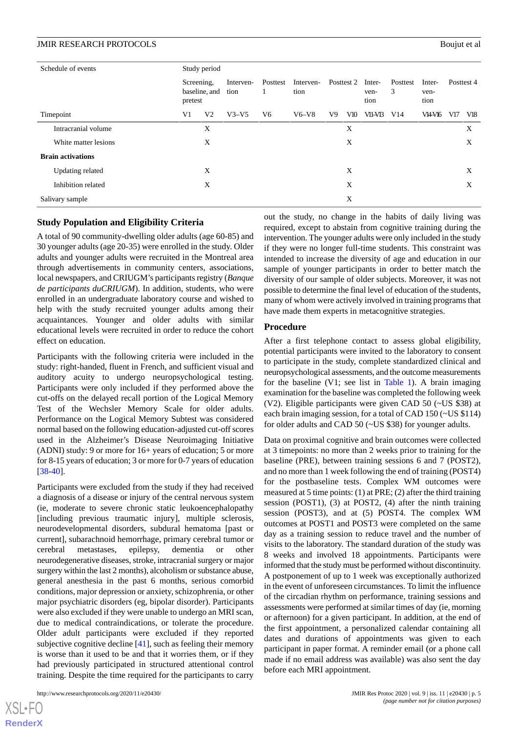| Schedule of events       | Study period |                             |                   |               |                   |            |     |                        |               |                        |            |     |
|--------------------------|--------------|-----------------------------|-------------------|---------------|-------------------|------------|-----|------------------------|---------------|------------------------|------------|-----|
|                          | pretest      | Screening,<br>baseline, and | Interven-<br>tion | Posttest<br>1 | Interven-<br>tion | Posttest 2 |     | Inter-<br>ven-<br>tion | Posttest<br>3 | Inter-<br>ven-<br>tion | Posttest 4 |     |
| Timepoint                | V1           | V2                          | $V3-V5$           | V6            | $V6-V8$           | V9         | V10 | VII-VI3                | V14           | VI4-V16                | V17        | V18 |
| Intracranial volume      |              | X                           |                   |               |                   |            | X   |                        |               |                        |            | X   |
| White matter lesions     |              | X                           |                   |               |                   |            | X   |                        |               |                        |            | X   |
| <b>Brain activations</b> |              |                             |                   |               |                   |            |     |                        |               |                        |            |     |
| Updating related         |              | X                           |                   |               |                   |            | X   |                        |               |                        |            | X   |
| Inhibition related       |              | X                           |                   |               |                   |            | X   |                        |               |                        |            | X   |
| Salivary sample          |              |                             |                   |               |                   |            | X   |                        |               |                        |            |     |

# **Study Population and Eligibility Criteria**

A total of 90 community-dwelling older adults (age 60-85) and 30 younger adults (age 20-35) were enrolled in the study. Older adults and younger adults were recruited in the Montreal area through advertisements in community centers, associations, local newspapers, and CRIUGM's participants registry (*Banque de participants duCRIUGM*). In addition, students, who were enrolled in an undergraduate laboratory course and wished to help with the study recruited younger adults among their acquaintances. Younger and older adults with similar educational levels were recruited in order to reduce the cohort effect on education.

Participants with the following criteria were included in the study: right-handed, fluent in French, and sufficient visual and auditory acuity to undergo neuropsychological testing. Participants were only included if they performed above the cut-offs on the delayed recall portion of the Logical Memory Test of the Wechsler Memory Scale for older adults. Performance on the Logical Memory Subtest was considered normal based on the following education-adjusted cut-off scores used in the Alzheimer's Disease Neuroimaging Initiative (ADNI) study: 9 or more for 16+ years of education; 5 or more for 8-15 years of education; 3 or more for 0-7 years of education [[38](#page-12-9)[-40](#page-12-10)].

Participants were excluded from the study if they had received a diagnosis of a disease or injury of the central nervous system (ie, moderate to severe chronic static leukoencephalopathy [including previous traumatic injury], multiple sclerosis, neurodevelopmental disorders, subdural hematoma [past or current], subarachnoid hemorrhage, primary cerebral tumor or cerebral metastases, epilepsy, dementia or other neurodegenerative diseases, stroke, intracranial surgery or major surgery within the last 2 months), alcoholism or substance abuse, general anesthesia in the past 6 months, serious comorbid conditions, major depression or anxiety, schizophrenia, or other major psychiatric disorders (eg, bipolar disorder). Participants were also excluded if they were unable to undergo an MRI scan, due to medical contraindications, or tolerate the procedure. Older adult participants were excluded if they reported subjective cognitive decline [\[41](#page-12-11)], such as feeling their memory is worse than it used to be and that it worries them, or if they had previously participated in structured attentional control training. Despite the time required for the participants to carry

 $XS$ -FO **[RenderX](http://www.renderx.com/)** out the study, no change in the habits of daily living was required, except to abstain from cognitive training during the intervention. The younger adults were only included in the study if they were no longer full-time students. This constraint was intended to increase the diversity of age and education in our sample of younger participants in order to better match the diversity of our sample of older subjects. Moreover, it was not possible to determine the final level of education of the students, many of whom were actively involved in training programs that have made them experts in metacognitive strategies.

#### **Procedure**

After a first telephone contact to assess global eligibility, potential participants were invited to the laboratory to consent to participate in the study, complete standardized clinical and neuropsychological assessments, and the outcome measurements for the baseline (V1; see list in [Table 1](#page-3-0)). A brain imaging examination for the baseline was completed the following week (V2). Eligible participants were given CAD 50 (~US \$38) at each brain imaging session, for a total of CAD 150 (~US \$114) for older adults and CAD 50 (~US \$38) for younger adults.

Data on proximal cognitive and brain outcomes were collected at 3 timepoints: no more than 2 weeks prior to training for the baseline (PRE), between training sessions 6 and 7 (POST2), and no more than 1 week following the end of training (POST4) for the postbaseline tests. Complex WM outcomes were measured at 5 time points: (1) at PRE; (2) after the third training session (POST1), (3) at POST2, (4) after the ninth training session (POST3), and at (5) POST4. The complex WM outcomes at POST1 and POST3 were completed on the same day as a training session to reduce travel and the number of visits to the laboratory. The standard duration of the study was 8 weeks and involved 18 appointments. Participants were informed that the study must be performed without discontinuity. A postponement of up to 1 week was exceptionally authorized in the event of unforeseen circumstances. To limit the influence of the circadian rhythm on performance, training sessions and assessments were performed at similar times of day (ie, morning or afternoon) for a given participant. In addition, at the end of the first appointment, a personalized calendar containing all dates and durations of appointments was given to each participant in paper format. A reminder email (or a phone call made if no email address was available) was also sent the day before each MRI appointment.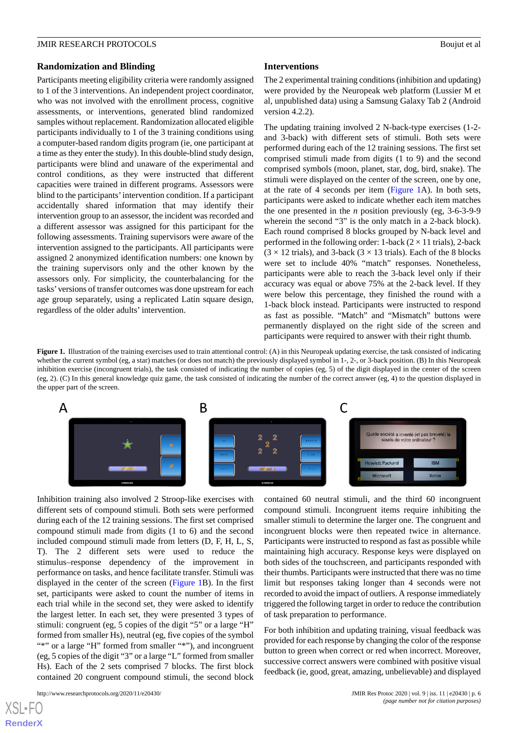#### **Randomization and Blinding**

Participants meeting eligibility criteria were randomly assigned to 1 of the 3 interventions. An independent project coordinator, who was not involved with the enrollment process, cognitive assessments, or interventions, generated blind randomized samples without replacement. Randomization allocated eligible participants individually to 1 of the 3 training conditions using a computer-based random digits program (ie, one participant at a time as they enter the study). In this double-blind study design, participants were blind and unaware of the experimental and control conditions, as they were instructed that different capacities were trained in different programs. Assessors were blind to the participants'intervention condition. If a participant accidentally shared information that may identify their intervention group to an assessor, the incident was recorded and a different assessor was assigned for this participant for the following assessments. Training supervisors were aware of the intervention assigned to the participants. All participants were assigned 2 anonymized identification numbers: one known by the training supervisors only and the other known by the assessors only. For simplicity, the counterbalancing for the tasks'versions of transfer outcomes was done upstream for each age group separately, using a replicated Latin square design, regardless of the older adults' intervention.

#### **Interventions**

The 2 experimental training conditions (inhibition and updating) were provided by the Neuropeak web platform (Lussier M et al, unpublished data) using a Samsung Galaxy Tab 2 (Android version 4.2.2).

The updating training involved 2 N-back-type exercises (1-2 and 3-back) with different sets of stimuli. Both sets were performed during each of the 12 training sessions. The first set comprised stimuli made from digits (1 to 9) and the second comprised symbols (moon, planet, star, dog, bird, snake). The stimuli were displayed on the center of the screen, one by one, at the rate of 4 seconds per item ([Figure 1](#page-5-0)A). In both sets, participants were asked to indicate whether each item matches the one presented in the *n* position previously (eg, 3-6-3-9-9 wherein the second "3" is the only match in a 2-back block). Each round comprised 8 blocks grouped by N-back level and performed in the following order: 1-back  $(2 \times 11 \text{ trials})$ , 2-back  $(3 \times 12 \text{ trials})$ , and 3-back  $(3 \times 13 \text{ trials})$ . Each of the 8 blocks were set to include 40% "match" responses. Nonetheless, participants were able to reach the 3-back level only if their accuracy was equal or above 75% at the 2-back level. If they were below this percentage, they finished the round with a 1-back block instead. Participants were instructed to respond as fast as possible. "Match" and "Mismatch" buttons were permanently displayed on the right side of the screen and participants were required to answer with their right thumb.

<span id="page-5-0"></span>**Figure 1.** Illustration of the training exercises used to train attentional control: (A) in this Neuropeak updating exercise, the task consisted of indicating whether the current symbol (eg, a star) matches (or does not match) the previously displayed symbol in 1-, 2-, or 3-back position. (B) In this Neuropeak inhibition exercise (incongruent trials), the task consisted of indicating the number of copies (eg, 5) of the digit displayed in the center of the screen (eg, 2). (C) In this general knowledge quiz game, the task consisted of indicating the number of the correct answer (eg, 4) to the question displayed in the upper part of the screen.



Inhibition training also involved 2 Stroop-like exercises with different sets of compound stimuli. Both sets were performed during each of the 12 training sessions. The first set comprised compound stimuli made from digits (1 to 6) and the second included compound stimuli made from letters (D, F, H, L, S, T). The 2 different sets were used to reduce the stimulus–response dependency of the improvement in performance on tasks, and hence facilitate transfer. Stimuli was displayed in the center of the screen [\(Figure 1B](#page-5-0)). In the first set, participants were asked to count the number of items in each trial while in the second set, they were asked to identify the largest letter. In each set, they were presented 3 types of stimuli: congruent (eg, 5 copies of the digit "5" or a large "H" formed from smaller Hs), neutral (eg, five copies of the symbol "\*" or a large "H" formed from smaller "\*"), and incongruent (eg, 5 copies of the digit "3" or a large "L" formed from smaller Hs). Each of the 2 sets comprised 7 blocks. The first block contained 20 congruent compound stimuli, the second block

contained 60 neutral stimuli, and the third 60 incongruent compound stimuli. Incongruent items require inhibiting the smaller stimuli to determine the larger one. The congruent and incongruent blocks were then repeated twice in alternance. Participants were instructed to respond as fast as possible while maintaining high accuracy. Response keys were displayed on both sides of the touchscreen, and participants responded with their thumbs. Participants were instructed that there was no time limit but responses taking longer than 4 seconds were not recorded to avoid the impact of outliers. A response immediately triggered the following target in order to reduce the contribution of task preparation to performance.

For both inhibition and updating training, visual feedback was provided for each response by changing the color of the response button to green when correct or red when incorrect. Moreover, successive correct answers were combined with positive visual feedback (ie, good, great, amazing, unbelievable) and displayed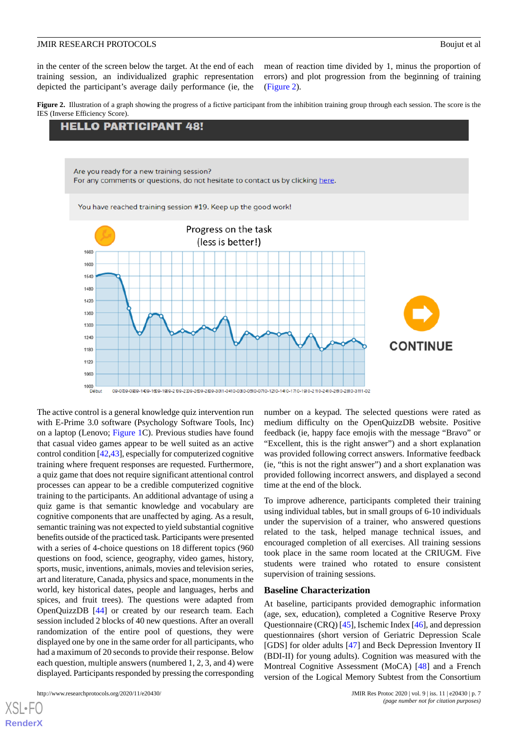in the center of the screen below the target. At the end of each training session, an individualized graphic representation depicted the participant's average daily performance (ie, the mean of reaction time divided by 1, minus the proportion of errors) and plot progression from the beginning of training ([Figure 2\)](#page-6-0).

<span id="page-6-0"></span>**Figure 2.** Illustration of a graph showing the progress of a fictive participant from the inhibition training group through each session. The score is the IES (Inverse Efficiency Score).

# **HELLO PARTICIPANT 48!**



The active control is a general knowledge quiz intervention run with E-Prime 3.0 software (Psychology Software Tools, Inc) on a laptop (Lenovo; [Figure 1C](#page-5-0)). Previous studies have found that casual video games appear to be well suited as an active control condition [[42](#page-12-12)[,43](#page-12-13)], especially for computerized cognitive training where frequent responses are requested. Furthermore, a quiz game that does not require significant attentional control processes can appear to be a credible computerized cognitive training to the participants. An additional advantage of using a quiz game is that semantic knowledge and vocabulary are cognitive components that are unaffected by aging. As a result, semantic training was not expected to yield substantial cognitive benefits outside of the practiced task. Participants were presented with a series of 4-choice questions on 18 different topics (960 questions on food, science, geography, video games, history, sports, music, inventions, animals, movies and television series, art and literature, Canada, physics and space, monuments in the world, key historical dates, people and languages, herbs and spices, and fruit trees). The questions were adapted from OpenQuizzDB [[44\]](#page-12-14) or created by our research team. Each session included 2 blocks of 40 new questions. After an overall randomization of the entire pool of questions, they were displayed one by one in the same order for all participants, who had a maximum of 20 seconds to provide their response. Below each question, multiple answers (numbered 1, 2, 3, and 4) were displayed. Participants responded by pressing the corresponding

number on a keypad. The selected questions were rated as medium difficulty on the OpenQuizzDB website. Positive feedback (ie, happy face emojis with the message "Bravo" or "Excellent, this is the right answer") and a short explanation was provided following correct answers. Informative feedback (ie, "this is not the right answer") and a short explanation was provided following incorrect answers, and displayed a second time at the end of the block.

To improve adherence, participants completed their training using individual tables, but in small groups of 6-10 individuals under the supervision of a trainer, who answered questions related to the task, helped manage technical issues, and encouraged completion of all exercises. All training sessions took place in the same room located at the CRIUGM. Five students were trained who rotated to ensure consistent supervision of training sessions.

#### **Baseline Characterization**

At baseline, participants provided demographic information (age, sex, education), completed a Cognitive Reserve Proxy Questionnaire (CRQ) [[45](#page-12-15)], Ischemic Index [\[46](#page-12-16)], and depression questionnaires (short version of Geriatric Depression Scale [GDS] for older adults [[47\]](#page-12-17) and Beck Depression Inventory II (BDI-II) for young adults). Cognition was measured with the Montreal Cognitive Assessment (MoCA) [[48\]](#page-12-18) and a French version of the Logical Memory Subtest from the Consortium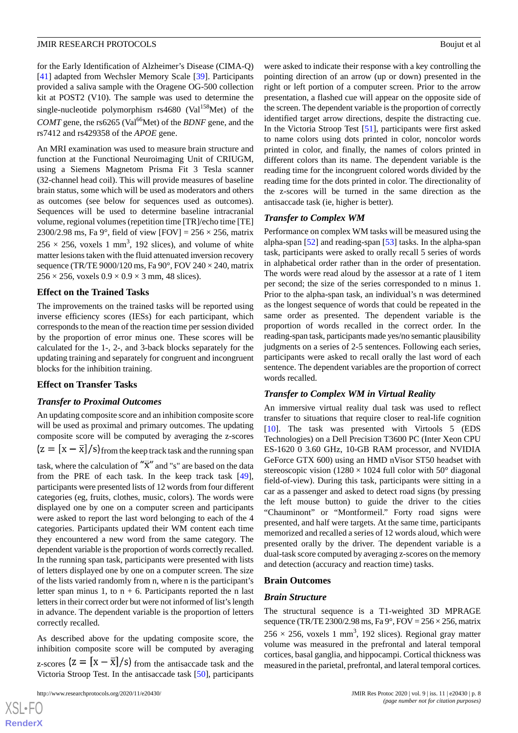for the Early Identification of Alzheimer's Disease (CIMA-Q) [[41\]](#page-12-11) adapted from Wechsler Memory Scale [[39\]](#page-12-19). Participants provided a saliva sample with the Oragene OG-500 collection kit at POST2 (V10). The sample was used to determine the single-nucleotide polymorphism  $rs4680$  (Val<sup>158</sup>Met) of the *COMT* gene, the rs6265 (Val<sup>66</sup>Met) of the *BDNF* gene, and the rs7412 and rs429358 of the *APOE* gene.

An MRI examination was used to measure brain structure and function at the Functional Neuroimaging Unit of CRIUGM, using a Siemens Magnetom Prisma Fit 3 Tesla scanner (32-channel head coil). This will provide measures of baseline brain status, some which will be used as moderators and others as outcomes (see below for sequences used as outcomes). Sequences will be used to determine baseline intracranial volume, regional volumes (repetition time [TR]/echo time [TE] 2300/2.98 ms, Fa  $9^{\circ}$ , field of view [FOV] = 256  $\times$  256, matrix  $256 \times 256$ , voxels 1 mm<sup>3</sup>, 192 slices), and volume of white matter lesions taken with the fluid attenuated inversion recovery sequence (TR/TE 9000/120 ms, Fa  $90^{\circ}$ , FOV 240  $\times$  240, matrix  $256 \times 256$ , voxels  $0.9 \times 0.9 \times 3$  mm, 48 slices).

#### **Effect on the Trained Tasks**

The improvements on the trained tasks will be reported using inverse efficiency scores (IESs) for each participant, which corresponds to the mean of the reaction time per session divided by the proportion of error minus one. These scores will be calculated for the 1-, 2-, and 3-back blocks separately for the updating training and separately for congruent and incongruent blocks for the inhibition training.

#### **Effect on Transfer Tasks**

#### *Transfer to Proximal Outcomes*

An updating composite score and an inhibition composite score will be used as proximal and primary outcomes. The updating composite score will be computed by averaging the z-scores  $\left[\frac{x - \bar{x}}{s}\right]$  from the keep track task and the running span task, where the calculation of  $\overline{X}$  and "s" are based on the data from the PRE of each task. In the keep track task [[49\]](#page-12-20), participants were presented lists of 12 words from four different categories (eg, fruits, clothes, music, colors). The words were displayed one by one on a computer screen and participants were asked to report the last word belonging to each of the 4 categories. Participants updated their WM content each time they encountered a new word from the same category. The dependent variable is the proportion of words correctly recalled. In the running span task, participants were presented with lists of letters displayed one by one on a computer screen. The size of the lists varied randomly from n, where n is the participant's letter span minus 1, to  $n + 6$ . Participants reported the n last letters in their correct order but were not informed of list's length in advance. The dependent variable is the proportion of letters correctly recalled.

As described above for the updating composite score, the inhibition composite score will be computed by averaging z-scores  $(z = [x - \overline{x}]/s)$  from the antisaccade task and the Victoria Stroop Test. In the antisaccade task [\[50](#page-12-21)], participants

 $XSI - F($ **[RenderX](http://www.renderx.com/)** were asked to indicate their response with a key controlling the pointing direction of an arrow (up or down) presented in the right or left portion of a computer screen. Prior to the arrow presentation, a flashed cue will appear on the opposite side of the screen. The dependent variable is the proportion of correctly identified target arrow directions, despite the distracting cue. In the Victoria Stroop Test [\[51](#page-12-22)], participants were first asked to name colors using dots printed in color, noncolor words printed in color, and finally, the names of colors printed in different colors than its name. The dependent variable is the reading time for the incongruent colored words divided by the reading time for the dots printed in color. The directionality of the z-scores will be turned in the same direction as the antisaccade task (ie, higher is better).

#### *Transfer to Complex WM*

Performance on complex WM tasks will be measured using the alpha-span [[52\]](#page-13-0) and reading-span [\[53](#page-13-1)] tasks. In the alpha-span task, participants were asked to orally recall 5 series of words in alphabetical order rather than in the order of presentation. The words were read aloud by the assessor at a rate of 1 item per second; the size of the series corresponded to n minus 1. Prior to the alpha-span task, an individual's n was determined as the longest sequence of words that could be repeated in the same order as presented. The dependent variable is the proportion of words recalled in the correct order. In the reading-span task, participants made yes/no semantic plausibility judgments on a series of 2-5 sentences. Following each series, participants were asked to recall orally the last word of each sentence. The dependent variables are the proportion of correct words recalled.

#### *Transfer to Complex WM in Virtual Reality*

An immersive virtual reality dual task was used to reflect transfer to situations that require closer to real-life cognition [[10\]](#page-11-3). The task was presented with Virtools 5 (EDS Technologies) on a Dell Precision T3600 PC (Inter Xeon CPU ES-1620 0 3.60 GHz, 10-GB RAM processor, and NVIDIA GeForce GTX 600) using an HMD nVisor ST50 headset with stereoscopic vision (1280  $\times$  1024 full color with 50 $^{\circ}$  diagonal field-of-view). During this task, participants were sitting in a car as a passenger and asked to detect road signs (by pressing the left mouse button) to guide the driver to the cities "Chauminont" or "Montformeil." Forty road signs were presented, and half were targets. At the same time, participants memorized and recalled a series of 12 words aloud, which were presented orally by the driver. The dependent variable is a dual-task score computed by averaging z-scores on the memory and detection (accuracy and reaction time) tasks.

#### **Brain Outcomes**

#### *Brain Structure*

The structural sequence is a T1-weighted 3D MPRAGE sequence (TR/TE 2300/2.98 ms, Fa  $9^{\circ}$ , FOV = 256  $\times$  256, matrix  $256 \times 256$ , voxels 1 mm<sup>3</sup>, 192 slices). Regional gray matter volume was measured in the prefrontal and lateral temporal cortices, basal ganglia, and hippocampi. Cortical thickness was measured in the parietal, prefrontal, and lateral temporal cortices.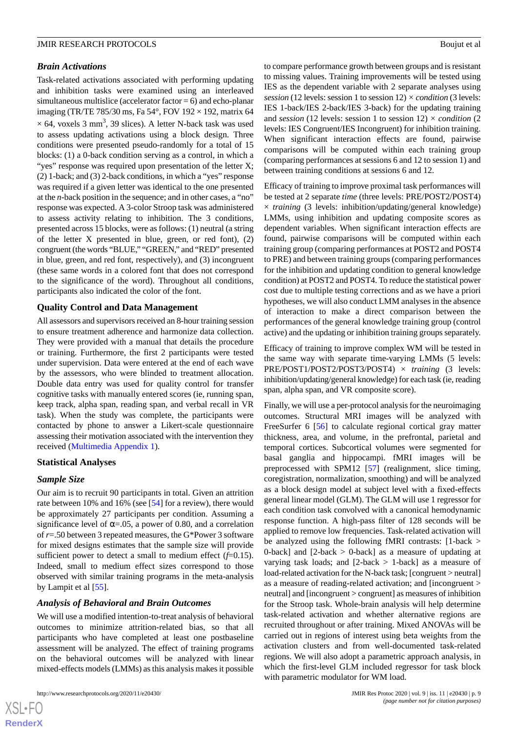#### *Brain Activations*

Task-related activations associated with performing updating and inhibition tasks were examined using an interleaved simultaneous multislice (accelerator factor  $= 6$ ) and echo-planar imaging (TR/TE 785/30 ms, Fa 54 $\degree$ , FOV 192  $\times$  192, matrix 64  $\times$  64, voxels 3 mm<sup>3</sup>, 39 slices). A letter N-back task was used to assess updating activations using a block design. Three conditions were presented pseudo-randomly for a total of 15 blocks: (1) a 0-back condition serving as a control, in which a "yes" response was required upon presentation of the letter X; (2) 1-back; and (3) 2-back conditions, in which a "yes" response was required if a given letter was identical to the one presented at the *n*-back position in the sequence; and in other cases, a "no" response was expected. A 3-color Stroop task was administered to assess activity relating to inhibition. The 3 conditions, presented across 15 blocks, were as follows: (1) neutral (a string of the letter X presented in blue, green, or red font), (2) congruent (the words "BLUE," "GREEN," and "RED" presented in blue, green, and red font, respectively), and (3) incongruent (these same words in a colored font that does not correspond to the significance of the word). Throughout all conditions, participants also indicated the color of the font.

# **Quality Control and Data Management**

All assessors and supervisors received an 8-hour training session to ensure treatment adherence and harmonize data collection. They were provided with a manual that details the procedure or training. Furthermore, the first 2 participants were tested under supervision. Data were entered at the end of each wave by the assessors, who were blinded to treatment allocation. Double data entry was used for quality control for transfer cognitive tasks with manually entered scores (ie, running span, keep track, alpha span, reading span, and verbal recall in VR task). When the study was complete, the participants were contacted by phone to answer a Likert-scale questionnaire assessing their motivation associated with the intervention they received ([Multimedia Appendix 1\)](#page-10-5).

#### **Statistical Analyses**

# *Sample Size*

Our aim is to recruit 90 participants in total. Given an attrition rate between 10% and 16% (see [\[54](#page-13-2)] for a review), there would be approximately 27 participants per condition. Assuming a significance level of  $\alpha$ =.05, a power of 0.80, and a correlation of *r*=.50 between 3 repeated measures, the G\*Power 3 software for mixed designs estimates that the sample size will provide sufficient power to detect a small to medium effect  $(f=0.15)$ . Indeed, small to medium effect sizes correspond to those observed with similar training programs in the meta-analysis by Lampit et al [\[55](#page-13-3)].

# *Analysis of Behavioral and Brain Outcomes*

We will use a modified intention-to-treat analysis of behavioral outcomes to minimize attrition-related bias, so that all participants who have completed at least one postbaseline assessment will be analyzed. The effect of training programs on the behavioral outcomes will be analyzed with linear mixed-effects models (LMMs) as this analysis makes it possible

to compare performance growth between groups and is resistant to missing values. Training improvements will be tested using IES as the dependent variable with 2 separate analyses using *session* (12 levels: session 1 to session 12) *× condition* (3 levels: IES 1-back/IES 2-back/IES 3-back) for the updating training and *session* (12 levels: session 1 to session 12) *× condition* (2 levels: IES Congruent/IES Incongruent) for inhibition training. When significant interaction effects are found, pairwise comparisons will be computed within each training group (comparing performances at sessions 6 and 12 to session 1) and between training conditions at sessions 6 and 12.

Efficacy of training to improve proximal task performances will be tested at 2 separate *time* (three levels: PRE/POST2/POST4) × *training* (3 levels: inhibition/updating/general knowledge) LMMs, using inhibition and updating composite scores as dependent variables. When significant interaction effects are found, pairwise comparisons will be computed within each training group (comparing performances at POST2 and POST4 to PRE) and between training groups (comparing performances for the inhibition and updating condition to general knowledge condition) at POST2 and POST4. To reduce the statistical power cost due to multiple testing corrections and as we have a priori hypotheses, we will also conduct LMM analyses in the absence of interaction to make a direct comparison between the performances of the general knowledge training group (control active) and the updating or inhibition training groups separately.

Efficacy of training to improve complex WM will be tested in the same way with separate time-varying LMMs (5 levels: PRE/POST1/POST2/POST3/POST4) × *training* (3 levels: inhibition/updating/general knowledge) for each task (ie, reading span, alpha span, and VR composite score).

Finally, we will use a per-protocol analysis for the neuroimaging outcomes. Structural MRI images will be analyzed with FreeSurfer 6 [[56\]](#page-13-4) to calculate regional cortical gray matter thickness, area, and volume, in the prefrontal, parietal and temporal cortices. Subcortical volumes were segmented for basal ganglia and hippocampi. fMRI images will be preprocessed with SPM12 [[57\]](#page-13-5) (realignment, slice timing, coregistration, normalization, smoothing) and will be analyzed as a block design model at subject level with a fixed-effects general linear model (GLM). The GLM will use 1 regressor for each condition task convolved with a canonical hemodynamic response function. A high-pass filter of 128 seconds will be applied to remove low frequencies. Task-related activation will be analyzed using the following fMRI contrasts: [1-back > 0-back] and  $[2$ -back  $> 0$ -back] as a measure of updating at varying task loads; and  $[2-back > 1-back]$  as a measure of load-related activation for the N-back task; [congruent > neutral] as a measure of reading-related activation; and [incongruent > neutral] and [incongruent > congruent] as measures of inhibition for the Stroop task. Whole-brain analysis will help determine task-related activation and whether alternative regions are recruited throughout or after training. Mixed ANOVAs will be carried out in regions of interest using beta weights from the activation clusters and from well-documented task-related regions. We will also adopt a parametric approach analysis, in which the first-level GLM included regressor for task block with parametric modulator for WM load.

```
XS-FO
RenderX
```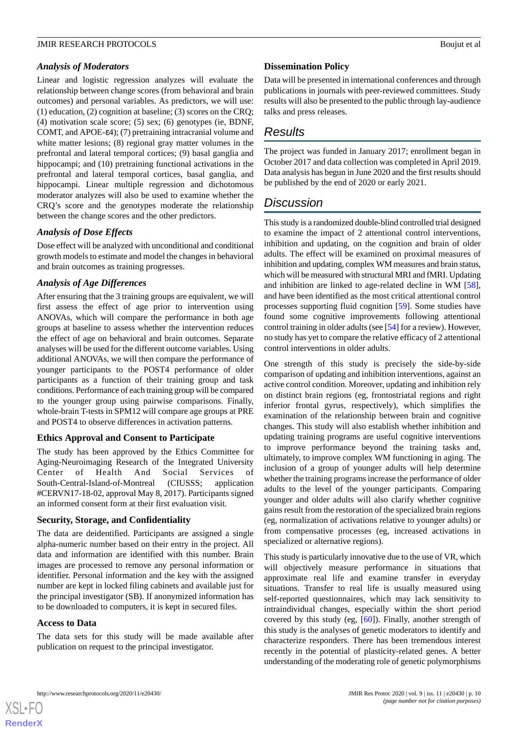# *Analysis of Moderators*

Linear and logistic regression analyzes will evaluate the relationship between change scores (from behavioral and brain outcomes) and personal variables. As predictors, we will use: (1) education, (2) cognition at baseline; (3) scores on the CRQ; (4) motivation scale score; (5) sex; (6) genotypes (ie, BDNF, COMT, and APOE-ε4); (7) pretraining intracranial volume and white matter lesions; (8) regional gray matter volumes in the prefrontal and lateral temporal cortices; (9) basal ganglia and hippocampi; and (10) pretraining functional activations in the prefrontal and lateral temporal cortices, basal ganglia, and hippocampi. Linear multiple regression and dichotomous moderator analyzes will also be used to examine whether the CRQ's score and the genotypes moderate the relationship between the change scores and the other predictors.

# *Analysis of Dose Effects*

Dose effect will be analyzed with unconditional and conditional growth models to estimate and model the changes in behavioral and brain outcomes as training progresses.

# *Analysis of Age Differences*

After ensuring that the 3 training groups are equivalent, we will first assess the effect of age prior to intervention using ANOVAs, which will compare the performance in both age groups at baseline to assess whether the intervention reduces the effect of age on behavioral and brain outcomes. Separate analyses will be used for the different outcome variables. Using additional ANOVAs, we will then compare the performance of younger participants to the POST4 performance of older participants as a function of their training group and task conditions. Performance of each training group will be compared to the younger group using pairwise comparisons. Finally, whole-brain T-tests in SPM12 will compare age groups at PRE and POST4 to observe differences in activation patterns.

# **Ethics Approval and Consent to Participate**

The study has been approved by the Ethics Committee for Aging-Neuroimaging Research of the Integrated University<br>Center of Health And Social Services of of Health And Social Services of South-Central-Island-of-Montreal (CIUSSS; application #CERVN17-18-02, approval May 8, 2017). Participants signed an informed consent form at their first evaluation visit.

# **Security, Storage, and Confidentiality**

The data are deidentified. Participants are assigned a single alpha-numeric number based on their entry in the project. All data and information are identified with this number. Brain images are processed to remove any personal information or identifier. Personal information and the key with the assigned number are kept in locked filing cabinets and available just for the principal investigator (SB). If anonymized information has to be downloaded to computers, it is kept in secured files.

# **Access to Data**

[XSL](http://www.w3.org/Style/XSL)•FO **[RenderX](http://www.renderx.com/)**

The data sets for this study will be made available after publication on request to the principal investigator.

# **Dissemination Policy**

Data will be presented in international conferences and through publications in journals with peer-reviewed committees. Study results will also be presented to the public through lay-audience talks and press releases.

# *Results*

The project was funded in January 2017; enrollment began in October 2017 and data collection was completed in April 2019. Data analysis has begun in June 2020 and the first results should be published by the end of 2020 or early 2021.

# *Discussion*

This study is a randomized double-blind controlled trial designed to examine the impact of 2 attentional control interventions, inhibition and updating, on the cognition and brain of older adults. The effect will be examined on proximal measures of inhibition and updating, complex WM measures and brain status, which will be measured with structural MRI and fMRI. Updating and inhibition are linked to age-related decline in WM [[58\]](#page-13-6), and have been identified as the most critical attentional control processes supporting fluid cognition [[59\]](#page-13-7). Some studies have found some cognitive improvements following attentional control training in older adults (see [[54\]](#page-13-2) for a review). However, no study has yet to compare the relative efficacy of 2 attentional control interventions in older adults.

One strength of this study is precisely the side-by-side comparison of updating and inhibition interventions, against an active control condition. Moreover, updating and inhibition rely on distinct brain regions (eg, frontostriatal regions and right inferior frontal gyrus, respectively), which simplifies the examination of the relationship between brain and cognitive changes. This study will also establish whether inhibition and updating training programs are useful cognitive interventions to improve performance beyond the training tasks and, ultimately, to improve complex WM functioning in aging. The inclusion of a group of younger adults will help determine whether the training programs increase the performance of older adults to the level of the younger participants. Comparing younger and older adults will also clarify whether cognitive gains result from the restoration of the specialized brain regions (eg, normalization of activations relative to younger adults) or from compensative processes (eg, increased activations in specialized or alternative regions).

This study is particularly innovative due to the use of VR, which will objectively measure performance in situations that approximate real life and examine transfer in everyday situations. Transfer to real life is usually measured using self-reported questionnaires, which may lack sensitivity to intraindividual changes, especially within the short period covered by this study (eg, [\[60](#page-13-8)]). Finally, another strength of this study is the analyses of genetic moderators to identify and characterize responders. There has been tremendous interest recently in the potential of plasticity-related genes. A better understanding of the moderating role of genetic polymorphisms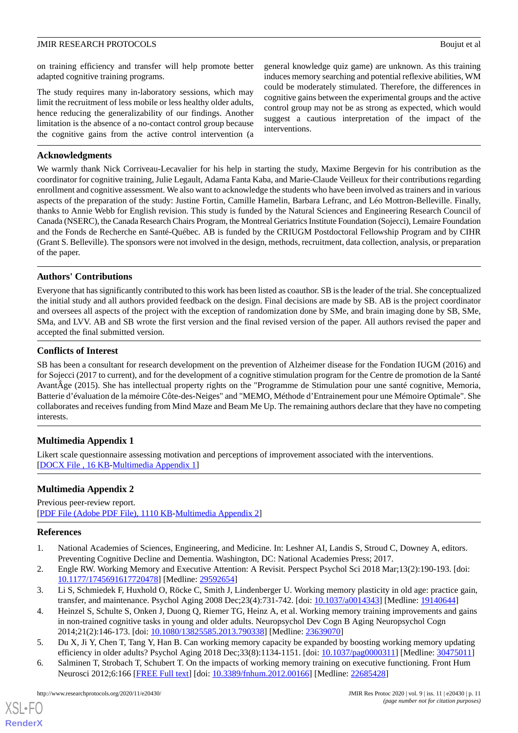on training efficiency and transfer will help promote better adapted cognitive training programs.

The study requires many in-laboratory sessions, which may limit the recruitment of less mobile or less healthy older adults, hence reducing the generalizability of our findings. Another limitation is the absence of a no-contact control group because the cognitive gains from the active control intervention (a general knowledge quiz game) are unknown. As this training induces memory searching and potential reflexive abilities, WM could be moderately stimulated. Therefore, the differences in cognitive gains between the experimental groups and the active control group may not be as strong as expected, which would suggest a cautious interpretation of the impact of the interventions.

# **Acknowledgments**

We warmly thank Nick Corriveau-Lecavalier for his help in starting the study, Maxime Bergevin for his contribution as the coordinator for cognitive training, Julie Legault, Adama Fanta Kaba, and Marie-Claude Veilleux for their contributions regarding enrollment and cognitive assessment. We also want to acknowledge the students who have been involved as trainers and in various aspects of the preparation of the study: Justine Fortin, Camille Hamelin, Barbara Lefranc, and Léo Mottron-Belleville. Finally, thanks to Annie Webb for English revision. This study is funded by the Natural Sciences and Engineering Research Council of Canada (NSERC), the Canada Research Chairs Program, the Montreal Geriatrics Institute Foundation (Sojecci), Lemaire Foundation and the Fonds de Recherche en Santé-Québec. AB is funded by the CRIUGM Postdoctoral Fellowship Program and by CIHR (Grant S. Belleville). The sponsors were not involved in the design, methods, recruitment, data collection, analysis, or preparation of the paper.

# **Authors' Contributions**

Everyone that has significantly contributed to this work has been listed as coauthor. SB is the leader of the trial. She conceptualized the initial study and all authors provided feedback on the design. Final decisions are made by SB. AB is the project coordinator and oversees all aspects of the project with the exception of randomization done by SMe, and brain imaging done by SB, SMe, SMa, and LVV. AB and SB wrote the first version and the final revised version of the paper. All authors revised the paper and accepted the final submitted version.

#### **Conflicts of Interest**

<span id="page-10-5"></span>SB has been a consultant for research development on the prevention of Alzheimer disease for the Fondation IUGM (2016) and for Sojecci (2017 to current), and for the development of a cognitive stimulation program for the Centre de promotion de la Santé AvantÂge (2015). She has intellectual property rights on the "Programme de Stimulation pour une santé cognitive, Memoria, Batterie d'évaluation de la mémoire Côte-des-Neiges" and "MEMO, Méthode d'Entrainement pour une Mémoire Optimale". She collaborates and receives funding from Mind Maze and Beam Me Up. The remaining authors declare that they have no competing interests.

# **Multimedia Appendix 1**

Likert scale questionnaire assessing motivation and perceptions of improvement associated with the interventions. [[DOCX File , 16 KB](https://jmir.org/api/download?alt_name=resprot_v9i11e20430_app1.docx&filename=32467790cc08ea717ab499feafd20199.docx)-[Multimedia Appendix 1\]](https://jmir.org/api/download?alt_name=resprot_v9i11e20430_app1.docx&filename=32467790cc08ea717ab499feafd20199.docx)

# <span id="page-10-0"></span>**Multimedia Appendix 2**

<span id="page-10-1"></span>Previous peer-review report. [[PDF File \(Adobe PDF File\), 1110 KB](https://jmir.org/api/download?alt_name=resprot_v9i11e20430_app2.pdf&filename=36ea6e257e6a319af29dc451eb29e331.pdf)-[Multimedia Appendix 2\]](https://jmir.org/api/download?alt_name=resprot_v9i11e20430_app2.pdf&filename=36ea6e257e6a319af29dc451eb29e331.pdf)

#### <span id="page-10-2"></span>**References**

- 1. National Academies of Sciences, Engineering, and Medicine. In: Leshner AI, Landis S, Stroud C, Downey A, editors. Preventing Cognitive Decline and Dementia. Washington, DC: National Academies Press; 2017.
- <span id="page-10-3"></span>2. Engle RW. Working Memory and Executive Attention: A Revisit. Perspect Psychol Sci 2018 Mar;13(2):190-193. [doi: [10.1177/1745691617720478\]](http://dx.doi.org/10.1177/1745691617720478) [Medline: [29592654\]](http://www.ncbi.nlm.nih.gov/entrez/query.fcgi?cmd=Retrieve&db=PubMed&list_uids=29592654&dopt=Abstract)
- <span id="page-10-4"></span>3. Li S, Schmiedek F, Huxhold O, Röcke C, Smith J, Lindenberger U. Working memory plasticity in old age: practice gain, transfer, and maintenance. Psychol Aging 2008 Dec;23(4):731-742. [doi: [10.1037/a0014343](http://dx.doi.org/10.1037/a0014343)] [Medline: [19140644\]](http://www.ncbi.nlm.nih.gov/entrez/query.fcgi?cmd=Retrieve&db=PubMed&list_uids=19140644&dopt=Abstract)
- 4. Heinzel S, Schulte S, Onken J, Duong Q, Riemer TG, Heinz A, et al. Working memory training improvements and gains in non-trained cognitive tasks in young and older adults. Neuropsychol Dev Cogn B Aging Neuropsychol Cogn 2014;21(2):146-173. [doi: [10.1080/13825585.2013.790338\]](http://dx.doi.org/10.1080/13825585.2013.790338) [Medline: [23639070\]](http://www.ncbi.nlm.nih.gov/entrez/query.fcgi?cmd=Retrieve&db=PubMed&list_uids=23639070&dopt=Abstract)
- 5. Du X, Ji Y, Chen T, Tang Y, Han B. Can working memory capacity be expanded by boosting working memory updating efficiency in older adults? Psychol Aging 2018 Dec;33(8):1134-1151. [doi: [10.1037/pag0000311](http://dx.doi.org/10.1037/pag0000311)] [Medline: [30475011](http://www.ncbi.nlm.nih.gov/entrez/query.fcgi?cmd=Retrieve&db=PubMed&list_uids=30475011&dopt=Abstract)]
- 6. Salminen T, Strobach T, Schubert T. On the impacts of working memory training on executive functioning. Front Hum Neurosci 2012;6:166 [\[FREE Full text\]](https://doi.org/10.3389/fnhum.2012.00166) [doi: [10.3389/fnhum.2012.00166\]](http://dx.doi.org/10.3389/fnhum.2012.00166) [Medline: [22685428](http://www.ncbi.nlm.nih.gov/entrez/query.fcgi?cmd=Retrieve&db=PubMed&list_uids=22685428&dopt=Abstract)]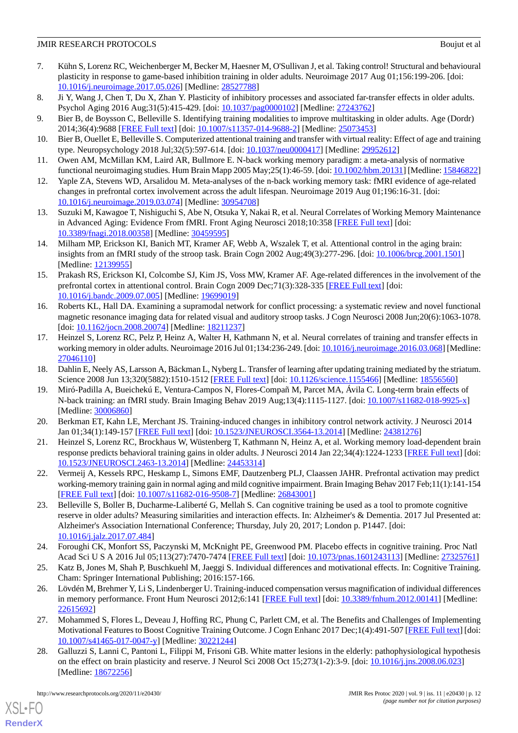- <span id="page-11-0"></span>7. Kühn S, Lorenz RC, Weichenberger M, Becker M, Haesner M, O'Sullivan J, et al. Taking control! Structural and behavioural plasticity in response to game-based inhibition training in older adults. Neuroimage 2017 Aug 01;156:199-206. [doi: [10.1016/j.neuroimage.2017.05.026\]](http://dx.doi.org/10.1016/j.neuroimage.2017.05.026) [Medline: [28527788\]](http://www.ncbi.nlm.nih.gov/entrez/query.fcgi?cmd=Retrieve&db=PubMed&list_uids=28527788&dopt=Abstract)
- <span id="page-11-2"></span><span id="page-11-1"></span>8. Ji Y, Wang J, Chen T, Du X, Zhan Y. Plasticity of inhibitory processes and associated far-transfer effects in older adults. Psychol Aging 2016 Aug;31(5):415-429. [doi: [10.1037/pag0000102\]](http://dx.doi.org/10.1037/pag0000102) [Medline: [27243762](http://www.ncbi.nlm.nih.gov/entrez/query.fcgi?cmd=Retrieve&db=PubMed&list_uids=27243762&dopt=Abstract)]
- <span id="page-11-3"></span>9. Bier B, de Boysson C, Belleville S. Identifying training modalities to improve multitasking in older adults. Age (Dordr) 2014;36(4):9688 [[FREE Full text\]](http://europepmc.org/abstract/MED/25073453) [doi: [10.1007/s11357-014-9688-2](http://dx.doi.org/10.1007/s11357-014-9688-2)] [Medline: [25073453](http://www.ncbi.nlm.nih.gov/entrez/query.fcgi?cmd=Retrieve&db=PubMed&list_uids=25073453&dopt=Abstract)]
- <span id="page-11-4"></span>10. Bier B, Ouellet E, Belleville S. Computerized attentional training and transfer with virtual reality: Effect of age and training type. Neuropsychology 2018 Jul;32(5):597-614. [doi: [10.1037/neu0000417](http://dx.doi.org/10.1037/neu0000417)] [Medline: [29952612\]](http://www.ncbi.nlm.nih.gov/entrez/query.fcgi?cmd=Retrieve&db=PubMed&list_uids=29952612&dopt=Abstract)
- 11. Owen AM, McMillan KM, Laird AR, Bullmore E. N-back working memory paradigm: a meta-analysis of normative functional neuroimaging studies. Hum Brain Mapp 2005 May;25(1):46-59. [doi: [10.1002/hbm.20131\]](http://dx.doi.org/10.1002/hbm.20131) [Medline: [15846822\]](http://www.ncbi.nlm.nih.gov/entrez/query.fcgi?cmd=Retrieve&db=PubMed&list_uids=15846822&dopt=Abstract)
- <span id="page-11-5"></span>12. Yaple ZA, Stevens WD, Arsalidou M. Meta-analyses of the n-back working memory task: fMRI evidence of age-related changes in prefrontal cortex involvement across the adult lifespan. Neuroimage 2019 Aug 01;196:16-31. [doi: [10.1016/j.neuroimage.2019.03.074\]](http://dx.doi.org/10.1016/j.neuroimage.2019.03.074) [Medline: [30954708\]](http://www.ncbi.nlm.nih.gov/entrez/query.fcgi?cmd=Retrieve&db=PubMed&list_uids=30954708&dopt=Abstract)
- <span id="page-11-6"></span>13. Suzuki M, Kawagoe T, Nishiguchi S, Abe N, Otsuka Y, Nakai R, et al. Neural Correlates of Working Memory Maintenance in Advanced Aging: Evidence From fMRI. Front Aging Neurosci 2018;10:358 [[FREE Full text](https://doi.org/10.3389/fnagi.2018.00358)] [doi: [10.3389/fnagi.2018.00358](http://dx.doi.org/10.3389/fnagi.2018.00358)] [Medline: [30459595](http://www.ncbi.nlm.nih.gov/entrez/query.fcgi?cmd=Retrieve&db=PubMed&list_uids=30459595&dopt=Abstract)]
- 14. Milham MP, Erickson KI, Banich MT, Kramer AF, Webb A, Wszalek T, et al. Attentional control in the aging brain: insights from an fMRI study of the stroop task. Brain Cogn 2002 Aug;49(3):277-296. [doi: [10.1006/brcg.2001.1501\]](http://dx.doi.org/10.1006/brcg.2001.1501) [Medline: [12139955](http://www.ncbi.nlm.nih.gov/entrez/query.fcgi?cmd=Retrieve&db=PubMed&list_uids=12139955&dopt=Abstract)]
- <span id="page-11-7"></span>15. Prakash RS, Erickson KI, Colcombe SJ, Kim JS, Voss MW, Kramer AF. Age-related differences in the involvement of the prefrontal cortex in attentional control. Brain Cogn 2009 Dec; 71(3):328-335 [[FREE Full text](http://europepmc.org/abstract/MED/19699019)] [doi: [10.1016/j.bandc.2009.07.005\]](http://dx.doi.org/10.1016/j.bandc.2009.07.005) [Medline: [19699019](http://www.ncbi.nlm.nih.gov/entrez/query.fcgi?cmd=Retrieve&db=PubMed&list_uids=19699019&dopt=Abstract)]
- <span id="page-11-8"></span>16. Roberts KL, Hall DA. Examining a supramodal network for conflict processing: a systematic review and novel functional magnetic resonance imaging data for related visual and auditory stroop tasks. J Cogn Neurosci 2008 Jun;20(6):1063-1078. [doi: [10.1162/jocn.2008.20074](http://dx.doi.org/10.1162/jocn.2008.20074)] [Medline: [18211237](http://www.ncbi.nlm.nih.gov/entrez/query.fcgi?cmd=Retrieve&db=PubMed&list_uids=18211237&dopt=Abstract)]
- <span id="page-11-11"></span><span id="page-11-9"></span>17. Heinzel S, Lorenz RC, Pelz P, Heinz A, Walter H, Kathmann N, et al. Neural correlates of training and transfer effects in working memory in older adults. Neuroimage 2016 Jul 01;134:236-249. [doi: [10.1016/j.neuroimage.2016.03.068\]](http://dx.doi.org/10.1016/j.neuroimage.2016.03.068) [Medline: [27046110](http://www.ncbi.nlm.nih.gov/entrez/query.fcgi?cmd=Retrieve&db=PubMed&list_uids=27046110&dopt=Abstract)]
- <span id="page-11-10"></span>18. Dahlin E, Neely AS, Larsson A, Bäckman L, Nyberg L. Transfer of learning after updating training mediated by the striatum. Science 2008 Jun 13;320(5882):1510-1512 [\[FREE Full text\]](http://www.sciencemag.org/cgi/pmidlookup?view=long&pmid=18556560) [doi: [10.1126/science.1155466](http://dx.doi.org/10.1126/science.1155466)] [Medline: [18556560](http://www.ncbi.nlm.nih.gov/entrez/query.fcgi?cmd=Retrieve&db=PubMed&list_uids=18556560&dopt=Abstract)]
- <span id="page-11-12"></span>19. Miró-Padilla A, Bueichekú E, Ventura-Campos N, Flores-Compañ M, Parcet MA, Ávila C. Long-term brain effects of N-back training: an fMRI study. Brain Imaging Behav 2019 Aug;13(4):1115-1127. [doi: [10.1007/s11682-018-9925-x\]](http://dx.doi.org/10.1007/s11682-018-9925-x) [Medline: [30006860](http://www.ncbi.nlm.nih.gov/entrez/query.fcgi?cmd=Retrieve&db=PubMed&list_uids=30006860&dopt=Abstract)]
- <span id="page-11-13"></span>20. Berkman ET, Kahn LE, Merchant JS. Training-induced changes in inhibitory control network activity. J Neurosci 2014 Jan 01;34(1):149-157 [[FREE Full text](http://www.jneurosci.org/cgi/pmidlookup?view=long&pmid=24381276)] [doi: [10.1523/JNEUROSCI.3564-13.2014\]](http://dx.doi.org/10.1523/JNEUROSCI.3564-13.2014) [Medline: [24381276](http://www.ncbi.nlm.nih.gov/entrez/query.fcgi?cmd=Retrieve&db=PubMed&list_uids=24381276&dopt=Abstract)]
- <span id="page-11-14"></span>21. Heinzel S, Lorenz RC, Brockhaus W, Wüstenberg T, Kathmann N, Heinz A, et al. Working memory load-dependent brain response predicts behavioral training gains in older adults. J Neurosci 2014 Jan 22;34(4):1224-1233 [\[FREE Full text](http://www.jneurosci.org/cgi/pmidlookup?view=long&pmid=24453314)] [doi: [10.1523/JNEUROSCI.2463-13.2014\]](http://dx.doi.org/10.1523/JNEUROSCI.2463-13.2014) [Medline: [24453314](http://www.ncbi.nlm.nih.gov/entrez/query.fcgi?cmd=Retrieve&db=PubMed&list_uids=24453314&dopt=Abstract)]
- 22. Vermeij A, Kessels RPC, Heskamp L, Simons EMF, Dautzenberg PLJ, Claassen JAHR. Prefrontal activation may predict working-memory training gain in normal aging and mild cognitive impairment. Brain Imaging Behav 2017 Feb;11(1):141-154 [[FREE Full text](http://europepmc.org/abstract/MED/26843001)] [doi: [10.1007/s11682-016-9508-7\]](http://dx.doi.org/10.1007/s11682-016-9508-7) [Medline: [26843001](http://www.ncbi.nlm.nih.gov/entrez/query.fcgi?cmd=Retrieve&db=PubMed&list_uids=26843001&dopt=Abstract)]
- 23. Belleville S, Boller B, Ducharme-Laliberté G, Mellah S. Can cognitive training be used as a tool to promote cognitive reserve in older adults? Measuring similarities and interaction effects. In: Alzheimer's & Dementia. 2017 Jul Presented at: Alzheimer's Association International Conference; Thursday, July 20, 2017; London p. P1447. [doi: [10.1016/j.jalz.2017.07.484](http://dx.doi.org/10.1016/j.jalz.2017.07.484)]
- <span id="page-11-17"></span>24. Foroughi CK, Monfort SS, Paczynski M, McKnight PE, Greenwood PM. Placebo effects in cognitive training. Proc Natl Acad Sci U S A 2016 Jul 05;113(27):7470-7474 [[FREE Full text](http://www.pnas.org/cgi/pmidlookup?view=long&pmid=27325761)] [doi: [10.1073/pnas.1601243113\]](http://dx.doi.org/10.1073/pnas.1601243113) [Medline: [27325761\]](http://www.ncbi.nlm.nih.gov/entrez/query.fcgi?cmd=Retrieve&db=PubMed&list_uids=27325761&dopt=Abstract)
- <span id="page-11-15"></span>25. Katz B, Jones M, Shah P, Buschkuehl M, Jaeggi S. Individual differences and motivational effects. In: Cognitive Training. Cham: Springer International Publishing; 2016:157-166.
- <span id="page-11-16"></span>26. Lövdén M, Brehmer Y, Li S, Lindenberger U. Training-induced compensation versus magnification of individual differences in memory performance. Front Hum Neurosci 2012;6:141 [[FREE Full text](https://doi.org/10.3389/fnhum.2012.00141)] [doi: [10.3389/fnhum.2012.00141\]](http://dx.doi.org/10.3389/fnhum.2012.00141) [Medline: [22615692](http://www.ncbi.nlm.nih.gov/entrez/query.fcgi?cmd=Retrieve&db=PubMed&list_uids=22615692&dopt=Abstract)]
- 27. Mohammed S, Flores L, Deveau J, Hoffing RC, Phung C, Parlett CM, et al. The Benefits and Challenges of Implementing Motivational Features to Boost Cognitive Training Outcome. J Cogn Enhanc 2017 Dec;1(4):491-507 [\[FREE Full text\]](http://europepmc.org/abstract/MED/30221244) [doi: [10.1007/s41465-017-0047-y\]](http://dx.doi.org/10.1007/s41465-017-0047-y) [Medline: [30221244](http://www.ncbi.nlm.nih.gov/entrez/query.fcgi?cmd=Retrieve&db=PubMed&list_uids=30221244&dopt=Abstract)]
- 28. Galluzzi S, Lanni C, Pantoni L, Filippi M, Frisoni GB. White matter lesions in the elderly: pathophysiological hypothesis on the effect on brain plasticity and reserve. J Neurol Sci 2008 Oct 15;273(1-2):3-9. [doi: [10.1016/j.jns.2008.06.023](http://dx.doi.org/10.1016/j.jns.2008.06.023)] [Medline: [18672256](http://www.ncbi.nlm.nih.gov/entrez/query.fcgi?cmd=Retrieve&db=PubMed&list_uids=18672256&dopt=Abstract)]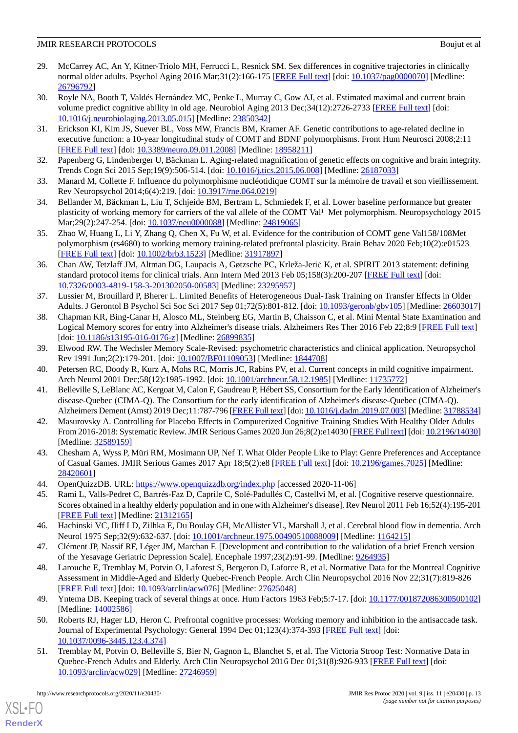- <span id="page-12-0"></span>29. McCarrey AC, An Y, Kitner-Triolo MH, Ferrucci L, Resnick SM. Sex differences in cognitive trajectories in clinically normal older adults. Psychol Aging 2016 Mar;31(2):166-175 [\[FREE Full text\]](http://europepmc.org/abstract/MED/26796792) [doi: [10.1037/pag0000070\]](http://dx.doi.org/10.1037/pag0000070) [Medline: [26796792](http://www.ncbi.nlm.nih.gov/entrez/query.fcgi?cmd=Retrieve&db=PubMed&list_uids=26796792&dopt=Abstract)]
- <span id="page-12-1"></span>30. Royle NA, Booth T, Valdés Hernández MC, Penke L, Murray C, Gow AJ, et al. Estimated maximal and current brain volume predict cognitive ability in old age. Neurobiol Aging 2013 Dec;34(12):2726-2733 [\[FREE Full text\]](https://linkinghub.elsevier.com/retrieve/pii/S0197-4580(13)00225-X) [doi: [10.1016/j.neurobiolaging.2013.05.015](http://dx.doi.org/10.1016/j.neurobiolaging.2013.05.015)] [Medline: [23850342\]](http://www.ncbi.nlm.nih.gov/entrez/query.fcgi?cmd=Retrieve&db=PubMed&list_uids=23850342&dopt=Abstract)
- <span id="page-12-2"></span>31. Erickson KI, Kim JS, Suever BL, Voss MW, Francis BM, Kramer AF. Genetic contributions to age-related decline in executive function: a 10-year longitudinal study of COMT and BDNF polymorphisms. Front Hum Neurosci 2008;2:11 [[FREE Full text](https://doi.org/10.3389/neuro.09.011.2008)] [doi: [10.3389/neuro.09.011.2008](http://dx.doi.org/10.3389/neuro.09.011.2008)] [Medline: [18958211\]](http://www.ncbi.nlm.nih.gov/entrez/query.fcgi?cmd=Retrieve&db=PubMed&list_uids=18958211&dopt=Abstract)
- <span id="page-12-4"></span><span id="page-12-3"></span>32. Papenberg G, Lindenberger U, Bäckman L. Aging-related magnification of genetic effects on cognitive and brain integrity. Trends Cogn Sci 2015 Sep;19(9):506-514. [doi: [10.1016/j.tics.2015.06.008](http://dx.doi.org/10.1016/j.tics.2015.06.008)] [Medline: [26187033](http://www.ncbi.nlm.nih.gov/entrez/query.fcgi?cmd=Retrieve&db=PubMed&list_uids=26187033&dopt=Abstract)]
- <span id="page-12-5"></span>33. Manard M, Collette F. Influence du polymorphisme nucléotidique COMT sur la mémoire de travail et son vieillissement. Rev Neuropsychol 2014;6(4):219. [doi: [10.3917/rne.064.0219](http://dx.doi.org/10.3917/rne.064.0219)]
- <span id="page-12-6"></span>34. Bellander M, Bäckman L, Liu T, Schjeide BM, Bertram L, Schmiedek F, et al. Lower baseline performance but greater plasticity of working memory for carriers of the val allele of the COMT Val<sup>1</sup> Met polymorphism. Neuropsychology 2015 Mar;29(2):247-254. [doi: [10.1037/neu0000088\]](http://dx.doi.org/10.1037/neu0000088) [Medline: [24819065\]](http://www.ncbi.nlm.nih.gov/entrez/query.fcgi?cmd=Retrieve&db=PubMed&list_uids=24819065&dopt=Abstract)
- <span id="page-12-7"></span>35. Zhao W, Huang L, Li Y, Zhang Q, Chen X, Fu W, et al. Evidence for the contribution of COMT gene Val158/108Met polymorphism (rs4680) to working memory training-related prefrontal plasticity. Brain Behav 2020 Feb;10(2):e01523 [[FREE Full text](https://doi.org/10.1002/brb3.1523)] [doi: [10.1002/brb3.1523\]](http://dx.doi.org/10.1002/brb3.1523) [Medline: [31917897](http://www.ncbi.nlm.nih.gov/entrez/query.fcgi?cmd=Retrieve&db=PubMed&list_uids=31917897&dopt=Abstract)]
- <span id="page-12-8"></span>36. Chan AW, Tetzlaff JM, Altman DG, Laupacis A, Gøtzsche PC, Krleža-Jerić K, et al. SPIRIT 2013 statement: defining standard protocol items for clinical trials. Ann Intern Med 2013 Feb 05;158(3):200-207 [\[FREE Full text\]](https://www.acpjournals.org/doi/10.7326/0003-4819-158-3-201302050-00583?url_ver=Z39.88-2003&rfr_id=ori:rid:crossref.org&rfr_dat=cr_pub%3dpubmed) [doi: [10.7326/0003-4819-158-3-201302050-00583](http://dx.doi.org/10.7326/0003-4819-158-3-201302050-00583)] [Medline: [23295957](http://www.ncbi.nlm.nih.gov/entrez/query.fcgi?cmd=Retrieve&db=PubMed&list_uids=23295957&dopt=Abstract)]
- <span id="page-12-9"></span>37. Lussier M, Brouillard P, Bherer L. Limited Benefits of Heterogeneous Dual-Task Training on Transfer Effects in Older Adults. J Gerontol B Psychol Sci Soc Sci 2017 Sep 01;72(5):801-812. [doi: [10.1093/geronb/gbv105](http://dx.doi.org/10.1093/geronb/gbv105)] [Medline: [26603017](http://www.ncbi.nlm.nih.gov/entrez/query.fcgi?cmd=Retrieve&db=PubMed&list_uids=26603017&dopt=Abstract)]
- <span id="page-12-19"></span>38. Chapman KR, Bing-Canar H, Alosco ML, Steinberg EG, Martin B, Chaisson C, et al. Mini Mental State Examination and Logical Memory scores for entry into Alzheimer's disease trials. Alzheimers Res Ther 2016 Feb 22;8:9 [[FREE Full text](https://alzres.biomedcentral.com/articles/10.1186/s13195-016-0176-z)] [doi: [10.1186/s13195-016-0176-z\]](http://dx.doi.org/10.1186/s13195-016-0176-z) [Medline: [26899835](http://www.ncbi.nlm.nih.gov/entrez/query.fcgi?cmd=Retrieve&db=PubMed&list_uids=26899835&dopt=Abstract)]
- <span id="page-12-11"></span><span id="page-12-10"></span>39. Elwood RW. The Wechsler Memory Scale-Revised: psychometric characteristics and clinical application. Neuropsychol Rev 1991 Jun;2(2):179-201. [doi: [10.1007/BF01109053\]](http://dx.doi.org/10.1007/BF01109053) [Medline: [1844708\]](http://www.ncbi.nlm.nih.gov/entrez/query.fcgi?cmd=Retrieve&db=PubMed&list_uids=1844708&dopt=Abstract)
- 40. Petersen RC, Doody R, Kurz A, Mohs RC, Morris JC, Rabins PV, et al. Current concepts in mild cognitive impairment. Arch Neurol 2001 Dec;58(12):1985-1992. [doi: [10.1001/archneur.58.12.1985](http://dx.doi.org/10.1001/archneur.58.12.1985)] [Medline: [11735772\]](http://www.ncbi.nlm.nih.gov/entrez/query.fcgi?cmd=Retrieve&db=PubMed&list_uids=11735772&dopt=Abstract)
- <span id="page-12-12"></span>41. Belleville S, LeBlanc AC, Kergoat M, Calon F, Gaudreau P, Hébert SS, Consortium for the Early Identification of Alzheimer's disease-Quebec (CIMA-Q). The Consortium for the early identification of Alzheimer's disease-Quebec (CIMA-Q). Alzheimers Dement (Amst) 2019 Dec;11:787-796 [\[FREE Full text\]](https://linkinghub.elsevier.com/retrieve/pii/S2352-8729(19)30054-5) [doi: [10.1016/j.dadm.2019.07.003](http://dx.doi.org/10.1016/j.dadm.2019.07.003)] [Medline: [31788534\]](http://www.ncbi.nlm.nih.gov/entrez/query.fcgi?cmd=Retrieve&db=PubMed&list_uids=31788534&dopt=Abstract)
- <span id="page-12-13"></span>42. Masurovsky A. Controlling for Placebo Effects in Computerized Cognitive Training Studies With Healthy Older Adults From 2016-2018: Systematic Review. JMIR Serious Games 2020 Jun 26;8(2):e14030 [\[FREE Full text](https://games.jmir.org/2020/2/e14030/)] [doi: [10.2196/14030\]](http://dx.doi.org/10.2196/14030) [Medline: [32589159](http://www.ncbi.nlm.nih.gov/entrez/query.fcgi?cmd=Retrieve&db=PubMed&list_uids=32589159&dopt=Abstract)]
- <span id="page-12-15"></span><span id="page-12-14"></span>43. Chesham A, Wyss P, Müri RM, Mosimann UP, Nef T. What Older People Like to Play: Genre Preferences and Acceptance of Casual Games. JMIR Serious Games 2017 Apr 18;5(2):e8 [[FREE Full text](https://games.jmir.org/2017/2/e8/)] [doi: [10.2196/games.7025\]](http://dx.doi.org/10.2196/games.7025) [Medline: [28420601](http://www.ncbi.nlm.nih.gov/entrez/query.fcgi?cmd=Retrieve&db=PubMed&list_uids=28420601&dopt=Abstract)]
- <span id="page-12-16"></span>44. OpenQuizzDB. URL:<https://www.openquizzdb.org/index.php> [accessed 2020-11-06]
- <span id="page-12-17"></span>45. Rami L, Valls-Pedret C, Bartrés-Faz D, Caprile C, Solé-Padullés C, Castellvi M, et al. [Cognitive reserve questionnaire. Scores obtained in a healthy elderly population and in one with Alzheimer's disease]. Rev Neurol 2011 Feb 16;52(4):195-201 [[FREE Full text](http://www.revneurol.com/LinkOut/formMedLine.asp?Refer=2010478&Revista=RevNeurol)] [Medline: [21312165](http://www.ncbi.nlm.nih.gov/entrez/query.fcgi?cmd=Retrieve&db=PubMed&list_uids=21312165&dopt=Abstract)]
- <span id="page-12-18"></span>46. Hachinski VC, Iliff LD, Zilhka E, Du Boulay GH, McAllister VL, Marshall J, et al. Cerebral blood flow in dementia. Arch Neurol 1975 Sep;32(9):632-637. [doi: [10.1001/archneur.1975.00490510088009\]](http://dx.doi.org/10.1001/archneur.1975.00490510088009) [Medline: [1164215\]](http://www.ncbi.nlm.nih.gov/entrez/query.fcgi?cmd=Retrieve&db=PubMed&list_uids=1164215&dopt=Abstract)
- <span id="page-12-20"></span>47. Clément JP, Nassif RF, Léger JM, Marchan F. [Development and contribution to the validation of a brief French version of the Yesavage Geriatric Depression Scale]. Encephale 1997;23(2):91-99. [Medline: [9264935](http://www.ncbi.nlm.nih.gov/entrez/query.fcgi?cmd=Retrieve&db=PubMed&list_uids=9264935&dopt=Abstract)]
- <span id="page-12-21"></span>48. Larouche E, Tremblay M, Potvin O, Laforest S, Bergeron D, Laforce R, et al. Normative Data for the Montreal Cognitive Assessment in Middle-Aged and Elderly Quebec-French People. Arch Clin Neuropsychol 2016 Nov 22;31(7):819-826 [[FREE Full text](http://europepmc.org/abstract/MED/27625048)] [doi: [10.1093/arclin/acw076](http://dx.doi.org/10.1093/arclin/acw076)] [Medline: [27625048](http://www.ncbi.nlm.nih.gov/entrez/query.fcgi?cmd=Retrieve&db=PubMed&list_uids=27625048&dopt=Abstract)]
- <span id="page-12-22"></span>49. Yntema DB. Keeping track of several things at once. Hum Factors 1963 Feb;5:7-17. [doi: [10.1177/001872086300500102](http://dx.doi.org/10.1177/001872086300500102)] [Medline: [14002586](http://www.ncbi.nlm.nih.gov/entrez/query.fcgi?cmd=Retrieve&db=PubMed&list_uids=14002586&dopt=Abstract)]
- 50. Roberts RJ, Hager LD, Heron C. Prefrontal cognitive processes: Working memory and inhibition in the antisaccade task. Journal of Experimental Psychology: General 1994 Dec 01;123(4):374-393 [\[FREE Full text\]](http://europepmc.org/abstract/MED/27246959) [doi: [10.1037/0096-3445.123.4.374\]](http://dx.doi.org/10.1037/0096-3445.123.4.374)
- 51. Tremblay M, Potvin O, Belleville S, Bier N, Gagnon L, Blanchet S, et al. The Victoria Stroop Test: Normative Data in Quebec-French Adults and Elderly. Arch Clin Neuropsychol 2016 Dec 01;31(8):926-933 [[FREE Full text](http://europepmc.org/abstract/MED/27246959)] [doi: [10.1093/arclin/acw029](http://dx.doi.org/10.1093/arclin/acw029)] [Medline: [27246959](http://www.ncbi.nlm.nih.gov/entrez/query.fcgi?cmd=Retrieve&db=PubMed&list_uids=27246959&dopt=Abstract)]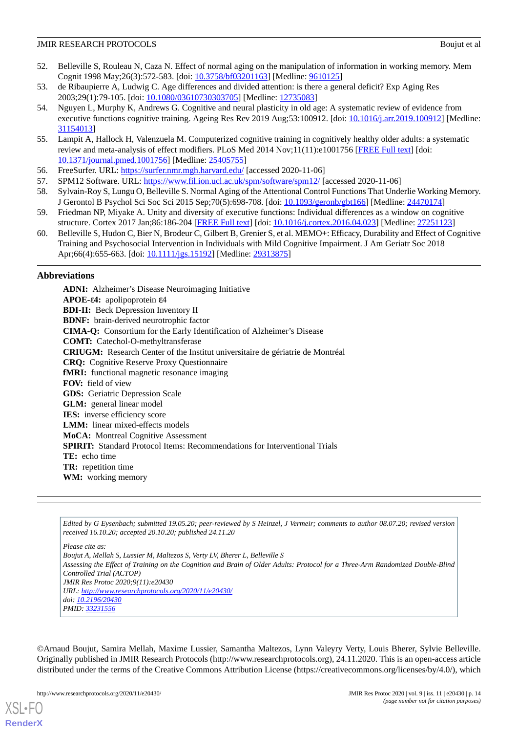- <span id="page-13-0"></span>52. Belleville S, Rouleau N, Caza N. Effect of normal aging on the manipulation of information in working memory. Mem Cognit 1998 May;26(3):572-583. [doi: [10.3758/bf03201163\]](http://dx.doi.org/10.3758/bf03201163) [Medline: [9610125](http://www.ncbi.nlm.nih.gov/entrez/query.fcgi?cmd=Retrieve&db=PubMed&list_uids=9610125&dopt=Abstract)]
- <span id="page-13-2"></span><span id="page-13-1"></span>53. de Ribaupierre A, Ludwig C. Age differences and divided attention: is there a general deficit? Exp Aging Res 2003;29(1):79-105. [doi: [10.1080/03610730303705\]](http://dx.doi.org/10.1080/03610730303705) [Medline: [12735083\]](http://www.ncbi.nlm.nih.gov/entrez/query.fcgi?cmd=Retrieve&db=PubMed&list_uids=12735083&dopt=Abstract)
- 54. Nguyen L, Murphy K, Andrews G. Cognitive and neural plasticity in old age: A systematic review of evidence from executive functions cognitive training. Ageing Res Rev 2019 Aug;53:100912. [doi: [10.1016/j.arr.2019.100912](http://dx.doi.org/10.1016/j.arr.2019.100912)] [Medline: [31154013](http://www.ncbi.nlm.nih.gov/entrez/query.fcgi?cmd=Retrieve&db=PubMed&list_uids=31154013&dopt=Abstract)]
- <span id="page-13-4"></span><span id="page-13-3"></span>55. Lampit A, Hallock H, Valenzuela M. Computerized cognitive training in cognitively healthy older adults: a systematic review and meta-analysis of effect modifiers. PLoS Med 2014 Nov;11(11):e1001756 [[FREE Full text](http://dx.plos.org/10.1371/journal.pmed.1001756)] [doi: [10.1371/journal.pmed.1001756](http://dx.doi.org/10.1371/journal.pmed.1001756)] [Medline: [25405755](http://www.ncbi.nlm.nih.gov/entrez/query.fcgi?cmd=Retrieve&db=PubMed&list_uids=25405755&dopt=Abstract)]
- <span id="page-13-6"></span><span id="page-13-5"></span>56. FreeSurfer. URL:<https://surfer.nmr.mgh.harvard.edu/> [accessed 2020-11-06]
- 57. SPM12 Software. URL:<https://www.fil.ion.ucl.ac.uk/spm/software/spm12/> [accessed 2020-11-06]
- <span id="page-13-7"></span>58. Sylvain-Roy S, Lungu O, Belleville S. Normal Aging of the Attentional Control Functions That Underlie Working Memory. J Gerontol B Psychol Sci Soc Sci 2015 Sep;70(5):698-708. [doi: [10.1093/geronb/gbt166](http://dx.doi.org/10.1093/geronb/gbt166)] [Medline: [24470174](http://www.ncbi.nlm.nih.gov/entrez/query.fcgi?cmd=Retrieve&db=PubMed&list_uids=24470174&dopt=Abstract)]
- <span id="page-13-8"></span>59. Friedman NP, Miyake A. Unity and diversity of executive functions: Individual differences as a window on cognitive structure. Cortex 2017 Jan;86:186-204 [[FREE Full text](http://europepmc.org/abstract/MED/27251123)] [doi: [10.1016/j.cortex.2016.04.023](http://dx.doi.org/10.1016/j.cortex.2016.04.023)] [Medline: [27251123\]](http://www.ncbi.nlm.nih.gov/entrez/query.fcgi?cmd=Retrieve&db=PubMed&list_uids=27251123&dopt=Abstract)
- 60. Belleville S, Hudon C, Bier N, Brodeur C, Gilbert B, Grenier S, et al. MEMO+: Efficacy, Durability and Effect of Cognitive Training and Psychosocial Intervention in Individuals with Mild Cognitive Impairment. J Am Geriatr Soc 2018 Apr;66(4):655-663. [doi: [10.1111/jgs.15192\]](http://dx.doi.org/10.1111/jgs.15192) [Medline: [29313875](http://www.ncbi.nlm.nih.gov/entrez/query.fcgi?cmd=Retrieve&db=PubMed&list_uids=29313875&dopt=Abstract)]

# **Abbreviations**

**ADNI:** Alzheimer's Disease Neuroimaging Initiative **APOE-**ε**4:** apolipoprotein ε4 **BDI-II:** Beck Depression Inventory II **BDNF:** brain-derived neurotrophic factor **CIMA-Q:** Consortium for the Early Identification of Alzheimer's Disease **COMT:** Catechol-O-methyltransferase **CRIUGM:** Research Center of the Institut universitaire de gériatrie de Montréal **CRQ:** Cognitive Reserve Proxy Questionnaire **fMRI:** functional magnetic resonance imaging **FOV:** field of view **GDS:** Geriatric Depression Scale **GLM:** general linear model **IES:** inverse efficiency score **LMM:** linear mixed-effects models **MoCA:** Montreal Cognitive Assessment **SPIRIT:** Standard Protocol Items: Recommendations for Interventional Trials **TE:** echo time **TR:** repetition time **WM:** working memory

*Edited by G Eysenbach; submitted 19.05.20; peer-reviewed by S Heinzel, J Vermeir; comments to author 08.07.20; revised version received 16.10.20; accepted 20.10.20; published 24.11.20*

*Please cite as: Boujut A, Mellah S, Lussier M, Maltezos S, Verty LV, Bherer L, Belleville S Assessing the Effect of Training on the Cognition and Brain of Older Adults: Protocol for a Three-Arm Randomized Double-Blind Controlled Trial (ACTOP) JMIR Res Protoc 2020;9(11):e20430 URL: <http://www.researchprotocols.org/2020/11/e20430/> doi: [10.2196/20430](http://dx.doi.org/10.2196/20430) PMID: [33231556](http://www.ncbi.nlm.nih.gov/entrez/query.fcgi?cmd=Retrieve&db=PubMed&list_uids=33231556&dopt=Abstract)*

©Arnaud Boujut, Samira Mellah, Maxime Lussier, Samantha Maltezos, Lynn Valeyry Verty, Louis Bherer, Sylvie Belleville. Originally published in JMIR Research Protocols (http://www.researchprotocols.org), 24.11.2020. This is an open-access article distributed under the terms of the Creative Commons Attribution License (https://creativecommons.org/licenses/by/4.0/), which